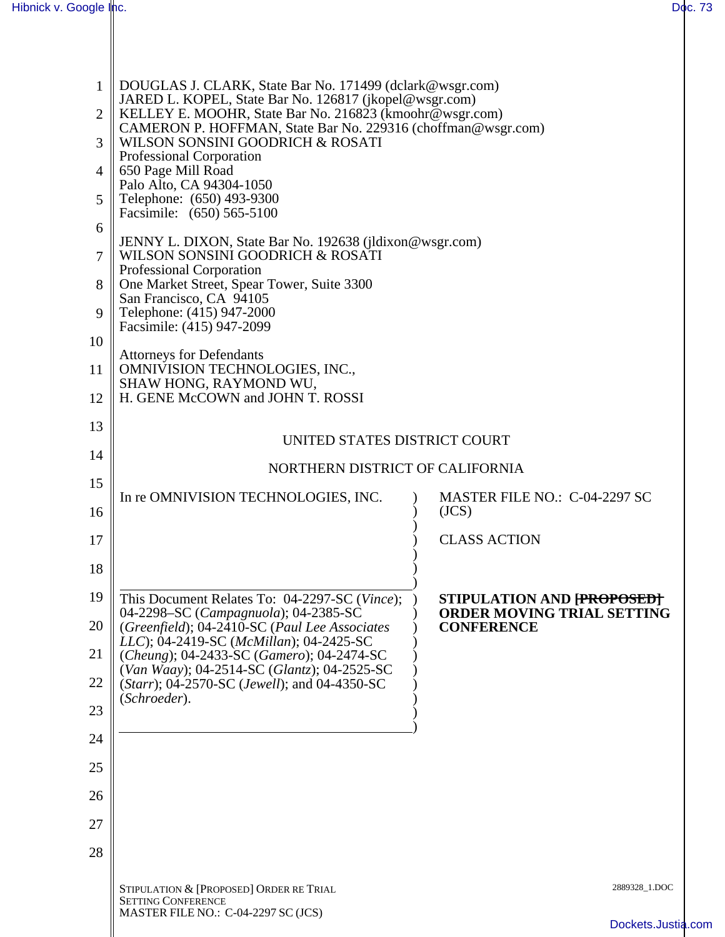| Hibnick v. Google Inc.                                                                                                                                                                                                                                                                                                                                                                                                                                                                                                                                                                                                                                                                                                                                                      | Doc. 73 |  |  |  |  |
|-----------------------------------------------------------------------------------------------------------------------------------------------------------------------------------------------------------------------------------------------------------------------------------------------------------------------------------------------------------------------------------------------------------------------------------------------------------------------------------------------------------------------------------------------------------------------------------------------------------------------------------------------------------------------------------------------------------------------------------------------------------------------------|---------|--|--|--|--|
| DOUGLAS J. CLARK, State Bar No. 171499 (dclark@wsgr.com)<br>1<br>JARED L. KOPEL, State Bar No. 126817 (jkopel@wsgr.com)<br>KELLEY E. MOOHR, State Bar No. 216823 (kmoohr@wsgr.com)<br>2<br>CAMERON P. HOFFMAN, State Bar No. 229316 (choffman@wsgr.com)<br>WILSON SONSINI GOODRICH & ROSATI<br>$\mathcal{R}$<br>Professional Corporation<br>650 Page Mill Road<br>$\vert$ $\vert$<br>Palo Alto, CA 94304-1050<br>Telephone: (650) 493-9300<br>$\overline{5}$<br>Facsimile: (650) 565-5100<br>6<br>JENNY L. DIXON, State Bar No. 192638 (jldixon@wsgr.com)<br>WILSON SONSINI GOODRICH & ROSATI<br>7<br>Professional Corporation<br>One Market Street, Spear Tower, Suite 3300<br>8<br>San Francisco, CA 94105<br>Telephone: (415) 947-2000<br>9<br>Facsimile: (415) 947-2099 |         |  |  |  |  |
| 10                                                                                                                                                                                                                                                                                                                                                                                                                                                                                                                                                                                                                                                                                                                                                                          |         |  |  |  |  |
| <b>Attorneys for Defendants</b><br><b>OMNIVISION TECHNOLOGIES, INC.,</b><br>11<br>SHAW HONG, RAYMOND WU,                                                                                                                                                                                                                                                                                                                                                                                                                                                                                                                                                                                                                                                                    |         |  |  |  |  |
| H. GENE McCOWN and JOHN T. ROSSI<br>12                                                                                                                                                                                                                                                                                                                                                                                                                                                                                                                                                                                                                                                                                                                                      |         |  |  |  |  |
| 13<br>UNITED STATES DISTRICT COURT                                                                                                                                                                                                                                                                                                                                                                                                                                                                                                                                                                                                                                                                                                                                          |         |  |  |  |  |
| 14<br>NORTHERN DISTRICT OF CALIFORNIA                                                                                                                                                                                                                                                                                                                                                                                                                                                                                                                                                                                                                                                                                                                                       |         |  |  |  |  |
| 15<br>In re OMNIVISION TECHNOLOGIES, INC.<br>MASTER FILE NO.: C-04-2297 SC                                                                                                                                                                                                                                                                                                                                                                                                                                                                                                                                                                                                                                                                                                  |         |  |  |  |  |
| (JCS)<br>16                                                                                                                                                                                                                                                                                                                                                                                                                                                                                                                                                                                                                                                                                                                                                                 |         |  |  |  |  |
| <b>CLASS ACTION</b><br>17                                                                                                                                                                                                                                                                                                                                                                                                                                                                                                                                                                                                                                                                                                                                                   |         |  |  |  |  |
| 18                                                                                                                                                                                                                                                                                                                                                                                                                                                                                                                                                                                                                                                                                                                                                                          |         |  |  |  |  |
| 19<br>This Document Relates To: 04-2297-SC (Vince);<br>STIPULATION AND [PROPOSED]<br>04-2298-SC (Campagnuola); 04-2385-SC<br><b>ORDER MOVING TRIAL SETTING</b>                                                                                                                                                                                                                                                                                                                                                                                                                                                                                                                                                                                                              |         |  |  |  |  |
| 20<br>(Greenfield); 04-2410-SC (Paul Lee Associates<br><b>CONFERENCE</b><br>LLC); 04-2419-SC (McMillan); 04-2425-SC                                                                                                                                                                                                                                                                                                                                                                                                                                                                                                                                                                                                                                                         |         |  |  |  |  |
| 21<br>(Cheung); 04-2433-SC (Gamero); 04-2474-SC<br>(Van Waay); 04-2514-SC (Glantz); 04-2525-SC                                                                                                                                                                                                                                                                                                                                                                                                                                                                                                                                                                                                                                                                              |         |  |  |  |  |
| 22<br>( <i>Starr</i> ); 04-2570-SC ( <i>Jewell</i> ); and 04-4350-SC<br>(Schroeder).                                                                                                                                                                                                                                                                                                                                                                                                                                                                                                                                                                                                                                                                                        |         |  |  |  |  |
| 23                                                                                                                                                                                                                                                                                                                                                                                                                                                                                                                                                                                                                                                                                                                                                                          |         |  |  |  |  |
| 24                                                                                                                                                                                                                                                                                                                                                                                                                                                                                                                                                                                                                                                                                                                                                                          |         |  |  |  |  |
| 25                                                                                                                                                                                                                                                                                                                                                                                                                                                                                                                                                                                                                                                                                                                                                                          |         |  |  |  |  |
| 26                                                                                                                                                                                                                                                                                                                                                                                                                                                                                                                                                                                                                                                                                                                                                                          |         |  |  |  |  |
| 27                                                                                                                                                                                                                                                                                                                                                                                                                                                                                                                                                                                                                                                                                                                                                                          |         |  |  |  |  |
| 28                                                                                                                                                                                                                                                                                                                                                                                                                                                                                                                                                                                                                                                                                                                                                                          |         |  |  |  |  |
| 2889328_1.DOC<br>STIPULATION & [PROPOSED] ORDER RE TRIAL<br><b>SETTING CONFERENCE</b>                                                                                                                                                                                                                                                                                                                                                                                                                                                                                                                                                                                                                                                                                       |         |  |  |  |  |
| MASTER FILE NO.: C-04-2297 SC (JCS)<br>Dockets.Justia.com                                                                                                                                                                                                                                                                                                                                                                                                                                                                                                                                                                                                                                                                                                                   |         |  |  |  |  |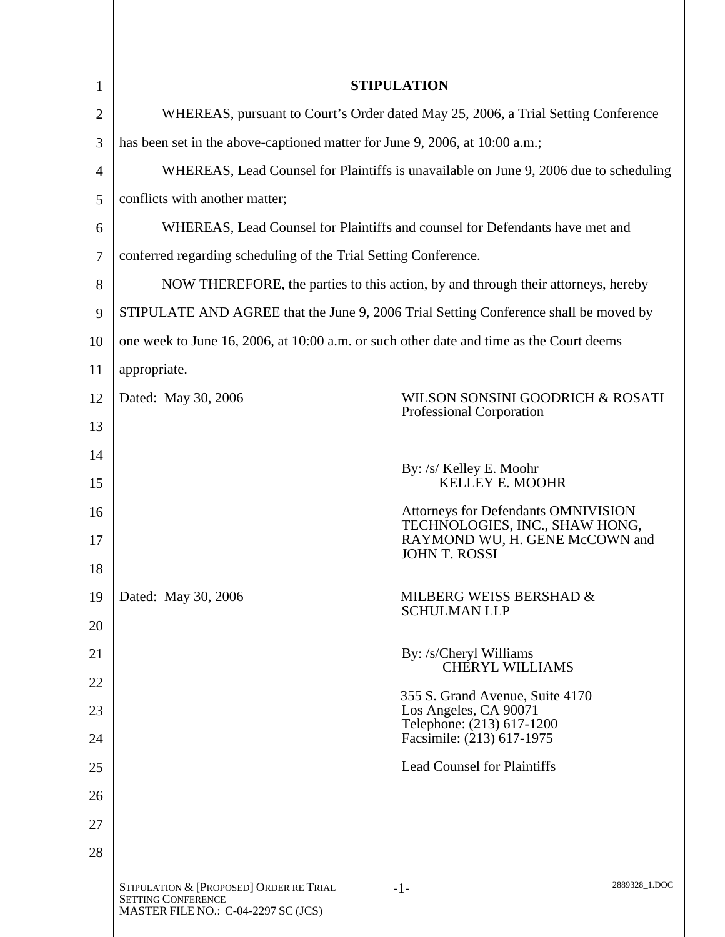| 1  | <b>STIPULATION</b>                                                                                          |                                                                                       |               |  |  |
|----|-------------------------------------------------------------------------------------------------------------|---------------------------------------------------------------------------------------|---------------|--|--|
| 2  | WHEREAS, pursuant to Court's Order dated May 25, 2006, a Trial Setting Conference                           |                                                                                       |               |  |  |
| 3  | has been set in the above-captioned matter for June 9, 2006, at 10:00 a.m.;                                 |                                                                                       |               |  |  |
| 4  | WHEREAS, Lead Counsel for Plaintiffs is unavailable on June 9, 2006 due to scheduling                       |                                                                                       |               |  |  |
| 5  | conflicts with another matter;                                                                              |                                                                                       |               |  |  |
| 6  | WHEREAS, Lead Counsel for Plaintiffs and counsel for Defendants have met and                                |                                                                                       |               |  |  |
| 7  | conferred regarding scheduling of the Trial Setting Conference.                                             |                                                                                       |               |  |  |
| 8  | NOW THEREFORE, the parties to this action, by and through their attorneys, hereby                           |                                                                                       |               |  |  |
| 9  | STIPULATE AND AGREE that the June 9, 2006 Trial Setting Conference shall be moved by                        |                                                                                       |               |  |  |
| 10 | one week to June 16, 2006, at 10:00 a.m. or such other date and time as the Court deems                     |                                                                                       |               |  |  |
| 11 | appropriate.                                                                                                |                                                                                       |               |  |  |
| 12 | Dated: May 30, 2006                                                                                         | WILSON SONSINI GOODRICH & ROSATI<br>Professional Corporation                          |               |  |  |
| 13 |                                                                                                             |                                                                                       |               |  |  |
| 14 |                                                                                                             | By: /s/ Kelley E. Moohr                                                               |               |  |  |
| 15 |                                                                                                             | <b>KELLEY E. MOOHR</b>                                                                |               |  |  |
| 16 |                                                                                                             | Attorneys for Defendants OMNIVISION<br>TECHNOLOGIES, INC., SHAW HONG,                 |               |  |  |
| 17 |                                                                                                             | RAYMOND WU, H. GENE McCOWN and<br><b>JOHN T. ROSSI</b>                                |               |  |  |
| 18 |                                                                                                             |                                                                                       |               |  |  |
| 19 | Dated: May 30, 2006                                                                                         | MILBERG WEISS BERSHAD &<br><b>SCHULMAN LLP</b>                                        |               |  |  |
| 20 |                                                                                                             |                                                                                       |               |  |  |
| 21 |                                                                                                             | By: /s/Cheryl Williams<br><b>CHERYL WILLIAMS</b>                                      |               |  |  |
| 22 |                                                                                                             |                                                                                       |               |  |  |
| 23 |                                                                                                             | 355 S. Grand Avenue, Suite 4170<br>Los Angeles, CA 90071<br>Telephone: (213) 617-1200 |               |  |  |
| 24 |                                                                                                             | Facsimile: (213) 617-1975                                                             |               |  |  |
| 25 |                                                                                                             | <b>Lead Counsel for Plaintiffs</b>                                                    |               |  |  |
| 26 |                                                                                                             |                                                                                       |               |  |  |
| 27 |                                                                                                             |                                                                                       |               |  |  |
| 28 |                                                                                                             |                                                                                       |               |  |  |
|    | STIPULATION & [PROPOSED] ORDER RE TRIAL<br><b>SETTING CONFERENCE</b><br>MASTER FILE NO.: C-04-2297 SC (JCS) | $-1-$                                                                                 | 2889328_1.DOC |  |  |

II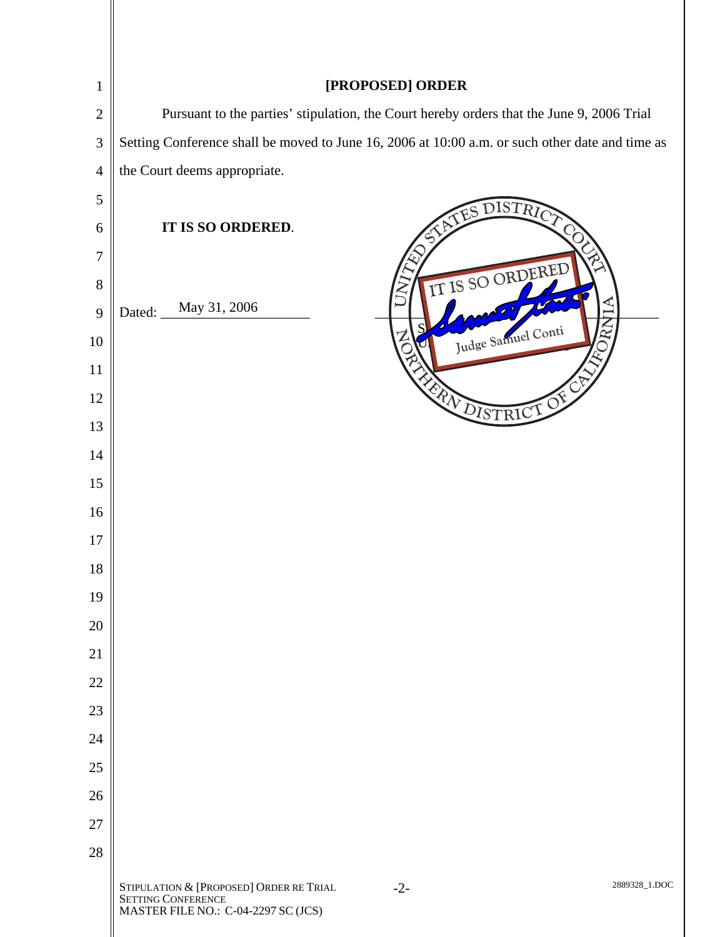| $\mathbf{1}$   | [PROPOSED] ORDER                                                                                                               |  |  |  |
|----------------|--------------------------------------------------------------------------------------------------------------------------------|--|--|--|
| $\overline{2}$ | Pursuant to the parties' stipulation, the Court hereby orders that the June 9, 2006 Trial                                      |  |  |  |
| $\mathfrak{Z}$ | Setting Conference shall be moved to June 16, 2006 at 10:00 a.m. or such other date and time as                                |  |  |  |
| $\overline{4}$ | the Court deems appropriate.                                                                                                   |  |  |  |
| 5              | DISTRIC                                                                                                                        |  |  |  |
| 6              | IT IS SO ORDERED.                                                                                                              |  |  |  |
| 7              |                                                                                                                                |  |  |  |
| 8              | IT IS SO ORDERED                                                                                                               |  |  |  |
| 9              | ₽<br>May 31, 2006<br>Dated:                                                                                                    |  |  |  |
| 10             | Judge Samuel Conti                                                                                                             |  |  |  |
| 11             |                                                                                                                                |  |  |  |
| 12             | EN DISTRICT OF                                                                                                                 |  |  |  |
| 13             |                                                                                                                                |  |  |  |
| 14             |                                                                                                                                |  |  |  |
| 15             |                                                                                                                                |  |  |  |
| 16             |                                                                                                                                |  |  |  |
| 17             |                                                                                                                                |  |  |  |
| 18             |                                                                                                                                |  |  |  |
| 19             |                                                                                                                                |  |  |  |
| 20             |                                                                                                                                |  |  |  |
| 21             |                                                                                                                                |  |  |  |
| 22             |                                                                                                                                |  |  |  |
| 23<br>24       |                                                                                                                                |  |  |  |
| 25             |                                                                                                                                |  |  |  |
| 26             |                                                                                                                                |  |  |  |
| 27             |                                                                                                                                |  |  |  |
| 28             |                                                                                                                                |  |  |  |
|                | STIPULATION & [PROPOSED] ORDER RE TRIAL<br>2889328_1.DOC<br>$-2-$<br>SETTING CONFERENCE<br>MASTER FILE NO.: C-04-2297 SC (JCS) |  |  |  |

II